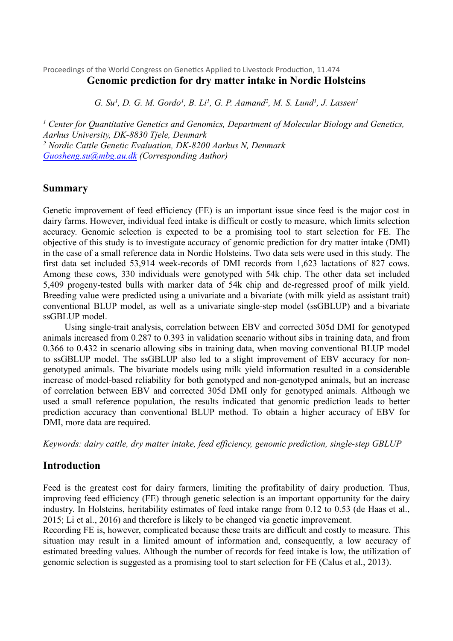Proceedings of the World Congress on Genetics Applied to Livestock Production, 11.474 **Genomic prediction for dry matter intake in Nordic Holsteins**

G. Su<sup>1</sup>, D. G. M. Gordo<sup>1</sup>, B. Li<sup>1</sup>, G. P. Aamand<sup>2</sup>, M. S. Lund<sup>1</sup>, J. Lassen<sup>1</sup>

*<sup>1</sup> Center for Quantitative Genetics and Genomics, Department of Molecular Biology and Genetics, Aarhus University, DK-8830 Tjele, Denmark <sup>2</sup> Nordic Cattle Genetic Evaluation, DK-8200 Aarhus N, Denmark [Guosheng.su@mbg.au.dk](mailto:Guosheng.su@mbg.au.dk) (Corresponding Author)*

### **Summary**

Genetic improvement of feed efficiency (FE) is an important issue since feed is the major cost in dairy farms. However, individual feed intake is difficult or costly to measure, which limits selection accuracy. Genomic selection is expected to be a promising tool to start selection for FE. The objective of this study is to investigate accuracy of genomic prediction for dry matter intake (DMI) in the case of a small reference data in Nordic Holsteins. Two data sets were used in this study. The first data set included 53,914 week-records of DMI records from 1,623 lactations of 827 cows. Among these cows, 330 individuals were genotyped with 54k chip. The other data set included 5,409 progeny-tested bulls with marker data of 54k chip and de-regressed proof of milk yield. Breeding value were predicted using a univariate and a bivariate (with milk yield as assistant trait) conventional BLUP model, as well as a univariate single-step model (ssGBLUP) and a bivariate ssGBLUP model.

Using single-trait analysis, correlation between EBV and corrected 305d DMI for genotyped animals increased from 0.287 to 0.393 in validation scenario without sibs in training data, and from 0.366 to 0.432 in scenario allowing sibs in training data, when moving conventional BLUP model to ssGBLUP model. The ssGBLUP also led to a slight improvement of EBV accuracy for nongenotyped animals. The bivariate models using milk yield information resulted in a considerable increase of model-based reliability for both genotyped and non-genotyped animals, but an increase of correlation between EBV and corrected 305d DMI only for genotyped animals. Although we used a small reference population, the results indicated that genomic prediction leads to better prediction accuracy than conventional BLUP method. To obtain a higher accuracy of EBV for DMI, more data are required.

*Keywords: dairy cattle, dry matter intake, feed efficiency, genomic prediction, single-step GBLUP*

## **Introduction**

Feed is the greatest cost for dairy farmers, limiting the profitability of dairy production. Thus, improving feed efficiency (FE) through genetic selection is an important opportunity for the dairy industry. In Holsteins, heritability estimates of feed intake range from 0.12 to 0.53 (de Haas et al., 2015; Li et al., 2016) and therefore is likely to be changed via genetic improvement.

Recording FE is, however, complicated because these traits are difficult and costly to measure. This situation may result in a limited amount of information and, consequently, a low accuracy of estimated breeding values. Although the number of records for feed intake is low, the utilization of genomic selection is suggested as a promising tool to start selection for FE (Calus et al., 2013).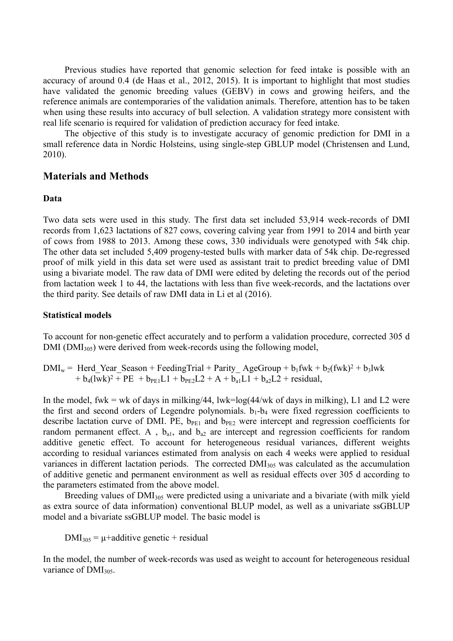Previous studies have reported that genomic selection for feed intake is possible with an accuracy of around 0.4 (de Haas et al., 2012, 2015). It is important to highlight that most studies have validated the genomic breeding values (GEBV) in cows and growing heifers, and the reference animals are contemporaries of the validation animals. Therefore, attention has to be taken when using these results into accuracy of bull selection. A validation strategy more consistent with real life scenario is required for validation of prediction accuracy for feed intake.

The objective of this study is to investigate accuracy of genomic prediction for DMI in a small reference data in Nordic Holsteins, using single-step GBLUP model (Christensen and Lund, 2010).

### **Materials and Methods**

### **Data**

Two data sets were used in this study. The first data set included 53,914 week-records of DMI records from 1,623 lactations of 827 cows, covering calving year from 1991 to 2014 and birth year of cows from 1988 to 2013. Among these cows, 330 individuals were genotyped with 54k chip. The other data set included 5,409 progeny-tested bulls with marker data of 54k chip. De-regressed proof of milk yield in this data set were used as assistant trait to predict breeding value of DMI using a bivariate model. The raw data of DMI were edited by deleting the records out of the period from lactation week 1 to 44, the lactations with less than five week-records, and the lactations over the third parity. See details of raw DMI data in Li et al (2016).

#### **Statistical models**

To account for non-genetic effect accurately and to perform a validation procedure, corrected 305 d  $DMI (DMI<sub>305</sub>)$  were derived from week-records using the following model,

 $DMI_w$  = Herd Year Season + FeedingTrial + Parity AgeGroup + b<sub>1</sub>fwk + b<sub>2</sub>(fwk)<sup>2</sup> + b<sub>3</sub>lwk  $+ b_4$ (lwk)<sup>2</sup> + PE + b<sub>PE1</sub>L1 + b<sub>PE2</sub>L2 + A + b<sub>a1</sub>L1 + b<sub>a2</sub>L2 + residual,

In the model, fwk = wk of days in milking/44, lwk=log(44/wk of days in milking), L1 and L2 were the first and second orders of Legendre polynomials.  $b_1-b_4$  were fixed regression coefficients to describe lactation curve of DMI. PE,  $b_{PE1}$  and  $b_{PE2}$  were intercept and regression coefficients for random permanent effect. A,  $b_{a1}$ , and  $b_{a2}$  are intercept and regression coefficients for random additive genetic effect. To account for heterogeneous residual variances, different weights according to residual variances estimated from analysis on each 4 weeks were applied to residual variances in different lactation periods. The corrected DMI<sub>305</sub> was calculated as the accumulation of additive genetic and permanent environment as well as residual effects over 305 d according to the parameters estimated from the above model.

Breeding values of DMI<sub>305</sub> were predicted using a univariate and a bivariate (with milk yield as extra source of data information) conventional BLUP model, as well as a univariate ssGBLUP model and a bivariate ssGBLUP model. The basic model is

 $DMI_{305} = \mu + \text{additive genetic} + \text{residual}$ 

In the model, the number of week-records was used as weight to account for heterogeneous residual variance of DMI<sub>305</sub>.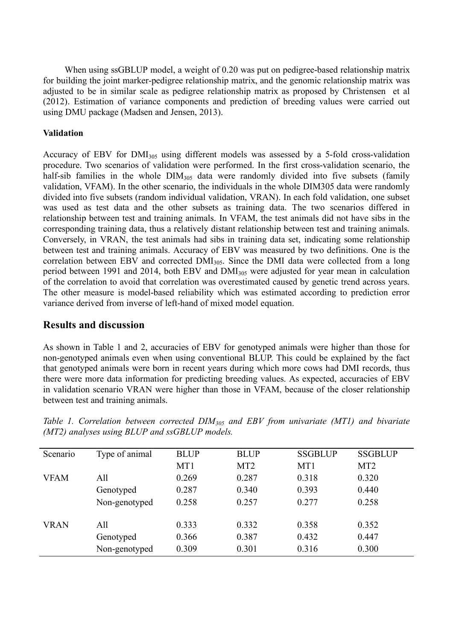When using ssGBLUP model, a weight of 0.20 was put on pedigree-based relationship matrix for building the joint marker-pedigree relationship matrix, and the genomic relationship matrix was adjusted to be in similar scale as pedigree relationship matrix as proposed by Christensen et al (2012). Estimation of variance components and prediction of breeding values were carried out using DMU package (Madsen and Jensen, 2013).

## **Validation**

Accuracy of EBV for  $DMI_{305}$  using different models was assessed by a 5-fold cross-validation procedure. Two scenarios of validation were performed. In the first cross-validation scenario, the half-sib families in the whole  $\text{DIM}_{305}$  data were randomly divided into five subsets (family validation, VFAM). In the other scenario, the individuals in the whole DIM305 data were randomly divided into five subsets (random individual validation, VRAN). In each fold validation, one subset was used as test data and the other subsets as training data. The two scenarios differed in relationship between test and training animals. In VFAM, the test animals did not have sibs in the corresponding training data, thus a relatively distant relationship between test and training animals. Conversely, in VRAN, the test animals had sibs in training data set, indicating some relationship between test and training animals. Accuracy of EBV was measured by two definitions. One is the correlation between EBV and corrected DMI<sub>305</sub>. Since the DMI data were collected from a long period between 1991 and 2014, both EBV and DMI<sup>305</sup> were adjusted for year mean in calculation of the correlation to avoid that correlation was overestimated caused by genetic trend across years. The other measure is model-based reliability which was estimated according to prediction error variance derived from inverse of left-hand of mixed model equation.

## **Results and discussion**

As shown in Table 1 and 2, accuracies of EBV for genotyped animals were higher than those for non-genotyped animals even when using conventional BLUP. This could be explained by the fact that genotyped animals were born in recent years during which more cows had DMI records, thus there were more data information for predicting breeding values. As expected, accuracies of EBV in validation scenario VRAN were higher than those in VFAM, because of the closer relationship between test and training animals.

| Scenario    | Type of animal | <b>BLUP</b> | <b>BLUP</b>     | <b>SSGBLUP</b> | <b>SSGBLUP</b>  |
|-------------|----------------|-------------|-----------------|----------------|-----------------|
|             |                | MT1         | MT <sub>2</sub> | MT1            | MT <sub>2</sub> |
| <b>VFAM</b> | All            | 0.269       | 0.287           | 0.318          | 0.320           |
|             | Genotyped      | 0.287       | 0.340           | 0.393          | 0.440           |
|             | Non-genotyped  | 0.258       | 0.257           | 0.277          | 0.258           |
| <b>VRAN</b> | All            | 0.333       | 0.332           | 0.358          | 0.352           |
|             | Genotyped      | 0.366       | 0.387           | 0.432          | 0.447           |
|             | Non-genotyped  | 0.309       | 0.301           | 0.316          | 0.300           |

*Table 1. Correlation between corrected DIM<sup>305</sup> and EBV from univariate (MT1) and bivariate (MT2) analyses using BLUP and ssGBLUP models.*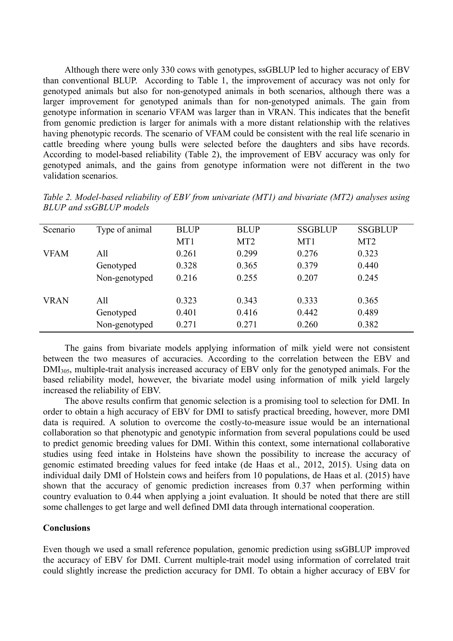Although there were only 330 cows with genotypes, ssGBLUP led to higher accuracy of EBV than conventional BLUP. According to Table 1, the improvement of accuracy was not only for genotyped animals but also for non-genotyped animals in both scenarios, although there was a larger improvement for genotyped animals than for non-genotyped animals. The gain from genotype information in scenario VFAM was larger than in VRAN. This indicates that the benefit from genomic prediction is larger for animals with a more distant relationship with the relatives having phenotypic records. The scenario of VFAM could be consistent with the real life scenario in cattle breeding where young bulls were selected before the daughters and sibs have records. According to model-based reliability (Table 2), the improvement of EBV accuracy was only for genotyped animals, and the gains from genotype information were not different in the two validation scenarios.

| BLUP and ssGBLUP models |                |             |                 |                 |                 |  |
|-------------------------|----------------|-------------|-----------------|-----------------|-----------------|--|
| Scenario                | Type of animal | <b>BLUP</b> | <b>BLUP</b>     | <b>SSGBLUP</b>  | <b>SSGBLUP</b>  |  |
|                         |                | MT1         | MT <sub>2</sub> | MT <sub>1</sub> | MT <sub>2</sub> |  |
| <b>VFAM</b>             | All            | 0.261       | 0.299           | 0.276           | 0.323           |  |

VRAN All 0.323 0.343 0.333 0.365

Genotyped 0.328 0.365 0.379 0.440 Non-genotyped 0.216 0.255 0.207 0.245

Genotyped 0.401 0.416 0.442 0.489 Non-genotyped 0.271 0.271 0.260 0.382

| Table 2. Model-based reliability of EBV from univariate (MT1) and bivariate (MT2) analyses using |  |  |  |  |
|--------------------------------------------------------------------------------------------------|--|--|--|--|
| BLUP and ssGBLUP models                                                                          |  |  |  |  |

| The gains from bivariate models applying information of milk yield were not consistent               |
|------------------------------------------------------------------------------------------------------|
| between the two measures of accuracies. According to the correlation between the EBV and             |
| $DMI305$ , multiple-trait analysis increased accuracy of EBV only for the genotyped animals. For the |
| based reliability model, however, the bivariate model using information of milk yield largely        |
| increased the reliability of EBV.                                                                    |

The above results confirm that genomic selection is a promising tool to selection for DMI. In order to obtain a high accuracy of EBV for DMI to satisfy practical breeding, however, more DMI data is required. A solution to overcome the costly-to-measure issue would be an international collaboration so that phenotypic and genotypic information from several populations could be used to predict genomic breeding values for DMI. Within this context, some international collaborative studies using feed intake in Holsteins have shown the possibility to increase the accuracy of genomic estimated breeding values for feed intake (de Haas et al., 2012, 2015). Using data on individual daily DMI of Holstein cows and heifers from 10 populations, de Haas et al. (2015) have shown that the accuracy of genomic prediction increases from 0.37 when performing within country evaluation to 0.44 when applying a joint evaluation. It should be noted that there are still some challenges to get large and well defined DMI data through international cooperation.

#### **Conclusions**

Even though we used a small reference population, genomic prediction using ssGBLUP improved the accuracy of EBV for DMI. Current multiple-trait model using information of correlated trait could slightly increase the prediction accuracy for DMI. To obtain a higher accuracy of EBV for